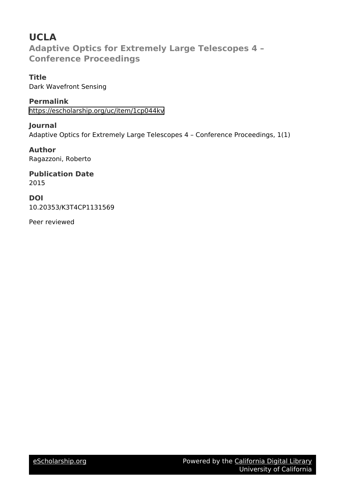# **UCLA Adaptive Optics for Extremely Large Telescopes 4 – Conference Proceedings**

**Title** Dark Wavefront Sensing

**Permalink** <https://escholarship.org/uc/item/1cp044kv>

**Journal** Adaptive Optics for Extremely Large Telescopes 4 – Conference Proceedings, 1(1)

**Author** Ragazzoni, Roberto

**Publication Date** 2015

**DOI** 10.20353/K3T4CP1131569

Peer reviewed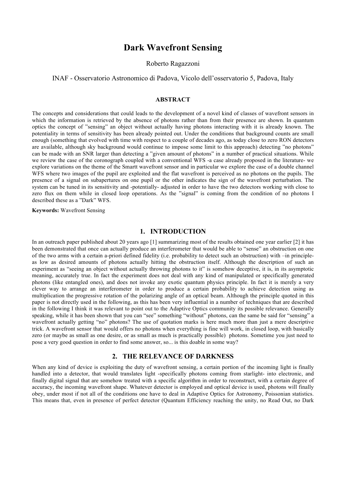# **Dark Wavefront Sensing**

#### Roberto Ragazzoni

# INAF - Osservatorio Astronomico di Padova, Vicolo dell'osservatorio 5, Padova, Italy

#### **ABSTRACT**

The concepts and considerations that could leads to the development of a novel kind of classes of wavefront sensors in which the information is retrieved by the absence of photons rather than from their presence are shown. In quantum optics the concept of "sensing" an object without actually having photons interacting with it is already known. The potentiality in terms of sensitivity has been already pointed out. Under the conditions that background counts are small enough (something that evolved with time with respect to a couple of decades ago, as today close to zero RON detectors are available, although sky background would continue to impose some limit to this approach) detecting "no photons" can be made with an SNR larger than detecting a "given amount of photons" in a number of practical situations. While we review the case of the coronograph coupled with a conventional WFS -a case already proposed in the literature- we explore variations on the theme of the Smartt wavefront sensor and in particular we explore the case of a double channel WFS where two images of the pupil are exploited and the flat wavefront is perceived as no photons on the pupils. The presence of a signal on subapertures on one pupil or the other indicates the sign of the wavefront perturbation. The system can be tuned in its sensitivity and -potentially- adjusted in order to have the two detectors working with close to zero flux on them while in closed loop operations. As the "signal" is coming from the condition of no photons I described these as a "Dark" WFS.

#### **Keywords:** Wavefront Sensing

#### **1. INTRODUCTION**

In an outreach paper published about 20 years ago [1] summarizing most of the results obtained one year earlier [2] it has been demonstrated that once can actually produce an interferometer that would be able to "sense" an obstruction on one of the two arms with a certain a-priori defined fidelity (i.e. probability to detect such an obstruction) with –in principleas low as desired amounts of photons actually hitting the obstruction itself. Although the description of such an experiment as "seeing an object without actually throwing photons to it" is somehow deceptive, it is, in its asymptotic meaning, accurately true. In fact the experiment does not deal with any kind of manipulated or specifically generated photons (like entangled ones), and does not invoke any exotic quantum physics principle. In fact it is merely a very clever way to arrange an interferometer in order to produce a certain probability to achieve detection using as multiplication the progressive rotation of the polarizing angle of an optical beam. Although the principle quoted in this paper is not directly used in the following, as this has been very influential in a number of techniques that are described in the following I think it was relevant to point out to the Adaptive Optics community its possible relevance. Generally speaking, while it has been shown that you can "see" something "without" photons, can the same be said for "sensing" a wavefront actually getting "no" photons? The use of quotation marks is here much more than just a mere descriptive trick. A wavefront sensor that would offers no photons when everything is fine will work, in closed loop, with basically zero (or maybe as small as one desire, or as small as much is practically possible) photons. Sometime you just need to pose a very good question in order to find some answer, so... is this doable in some way?

## **2. THE RELEVANCE OF DARKNESS**

When any kind of device is exploiting the duty of wavefront sensing, a certain portion of the incoming light is finally handled into a detector, that would translates light -specifically photons coming from starlight- into electronic, and finally digital signal that are somehow treated with a specific algorithm in order to reconstruct, with a certain degree of accuracy, the incoming wavefront shape. Whatever detector is employed and optical device is used, photons will finally obey, under most if not all of the conditions one have to deal in Adaptive Optics for Astronomy, Poissonian statistics. This means that, even in presence of perfect detector (Quantum Efficiency reaching the unity, no Read Out, no Dark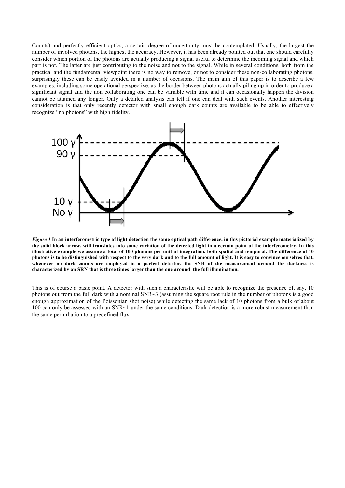Counts) and perfectly efficient optics, a certain degree of uncertainty must be contemplated. Usually, the largest the number of involved photons, the highest the accuracy. However, it has been already pointed out that one should carefully consider which portion of the photons are actually producing a signal useful to determine the incoming signal and which part is not. The latter are just contributing to the noise and not to the signal. While in several conditions, both from the practical and the fundamental viewpoint there is no way to remove, or not to consider these non-collaborating photons, surprisingly these can be easily avoided in a number of occasions. The main aim of this paper is to describe a few examples, including some operational perspective, as the border between photons actually piling up in order to produce a significant signal and the non collaborating one can be variable with time and it can occasionally happen the division cannot be attained any longer. Only a detailed analysis can tell if one can deal with such events. Another interesting consideration is that only recently detector with small enough dark counts are available to be able to effectively recognize "no photons" with high fidelity.



*Figure 1* **In an interferometric type of light detection the same optical path difference, in this pictorial example materialized by the solid block arrow, will translates into some variation of the detected light in a certain point of the interferometry. In this illustrative example we assume a total of 100 photons per unit of integration, both spatial and temporal. The difference of 10 photons is to be distinguished with respect to the very dark and to the full amount of light. It is easy to convince ourselves that, whenever no dark counts are employed in a perfect detector, the SNR of the measurement around the darkness is characterized by an SRN that is three times larger than the one around the full illumination.**

This is of course a basic point. A detector with such a characteristic will be able to recognize the presence of, say, 10 photons out from the full dark with a nominal SNR~3 (assuming the square root rule in the number of photons is a good enough approximation of the Poissonian shot noise) while detecting the same lack of 10 photons from a bulk of about 100 can only be assessed with an SNR~1 under the same conditions. Dark detection is a more robust measurement than the same perturbation to a predefined flux.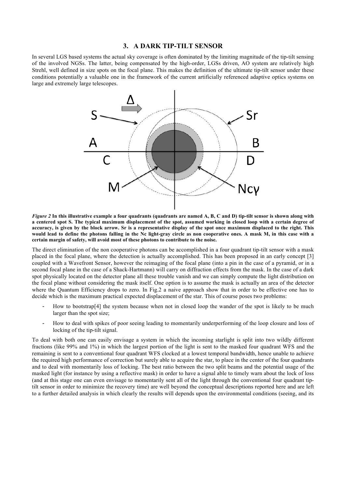#### **3. A DARK TIP-TILT SENSOR**

In several LGS based systems the actual sky coverage is often dominated by the limiting magnitude of the tip-tilt sensing of the involved NGSs. The latter, being compensated by the high-order, LGSs driven, AO system are relatively high Strehl, well defined in size spots on the focal plane. This makes the definition of the ultimate tip-tilt sensor under these conditions potentially a valuable one in the framework of the current artificially referenced adaptive optics systems on large and extremely large telescopes.



*Figure 2* **In this illustrative example a four quadrants (quadrants are named A, B, C and D) tip-tilt sensor is shown along with a centered spot S. The typical maximum displacement of the spot, assumed working in closed loop with a certain degree of accuracy, is given by the block arrow. Sr is a representative display of the spot once maximum displaced to the right. This would lead to define the photons falling in the Nc light-gray circle as non cooperative ones. A mask M, in this case with a certain margin of safety, will avoid most of these photons to contribute to the noise.**

The direct elimination of the non cooperative photons can be accomplished in a four quadrant tip-tilt sensor with a mask placed in the focal plane, where the detection is actually accomplished. This has been proposed in an early concept [3] coupled with a Wavefront Sensor, however the reimaging of the focal plane (into a pin in the case of a pyramid, or in a second focal plane in the case of a Shack-Hartmann) will carry on diffraction effects from the mask. In the case of a dark spot physically located on the detector plane all these trouble vanish and we can simply compute the light distribution on the focal plane without considering the mask itself. One option is to assume the mask is actually an area of the detector where the Quantum Efficiency drops to zero. In Fig. 2 a naive approach show that in order to be effective one has to decide which is the maximum practical expected displacement of the star. This of course poses two problems:

- How to bootstrap<sup>[4]</sup> the system because when not in closed loop the wander of the spot is likely to be much larger than the spot size;
- How to deal with spikes of poor seeing leading to momentarily underperforming of the loop closure and loss of locking of the tip-tilt signal.

To deal with both one can easily envisage a system in which the incoming starlight is split into two wildly different fractions (like 99% and 1%) in which the largest portion of the light is sent to the masked four quadrant WFS and the remaining is sent to a conventional four quadrant WFS clocked at a lowest temporal bandwidth, hence unable to achieve the required high performance of correction but surely able to acquire the star, to place in the center of the four quadrants and to deal with momentarily loss of locking. The best ratio between the two split beams and the potential usage of the masked light (for instance by using a reflective mask) in order to have a signal able to timely warn about the lock of loss (and at this stage one can even envisage to momentarily sent all of the light through the conventional four quadrant tiptilt sensor in order to minimize the recovery time) are well beyond the conceptual descriptions reported here and are left to a further detailed analysis in which clearly the results will depends upon the environmental conditions (seeing, and its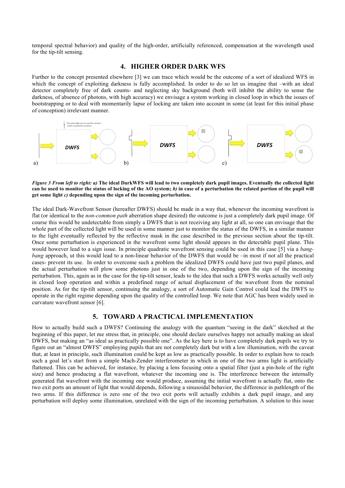temporal spectral behavior) and quality of the high-order, artificially referenced, compensation at the wavelength used for the tip-tilt sensing.

## **4. HIGHER ORDER DARK WFS**

Further to the concept presented elsewhere [3] we can trace which would be the outcome of a sort of idealized WFS in which the concept of exploiting darkness is fully accomplished. In order to do so let us imagine that –with an ideal detector completely free of dark counts- and neglecting sky background (both will inhibit the ability to sense the darkness, of absence of photons, with high accuracy) we envisage a system working in closed loop in which the issues of bootstrapping or to deal with momentarily lapse of locking are taken into account in some (at least for this initial phase of conception) irrelevant manner.



#### *Figure 3 From left to right: a)* **The ideal DarkWFS will lead to two completely dark pupil images. Eventually the collected light can be used to monitor the status of locking of the AO system;** *b)* **in case of a perturbation the related portion of the pupil will get some light** *c)* **depending upon the sign of the incoming perturbation.**

The ideal Dark-Wavefront Sensor (hereafter DWFS) should be made in a way that, whenever the incoming wavefront is flat (or identical to the *non-common path* aberration shape desired) the outcome is just a completely dark pupil image. Of course this would be undetectable from simply a DWFS that is not receiving any light at all, so one can envisage that the whole part of the collected light will be used in some manner just to monitor the status of the DWFS, in a similar manner to the light eventually reflected by the reflective mask in the case described in the previous section about the tip-tilt. Once some perturbation is experienced in the wavefront some light should appears in the detectable pupil plane. This would however lead to a sign issue. In principle quadratic wavefront sensing could be used in this case [5] via a *bangbang* approach, ut this would lead to a non-linear behavior of the DWFS that would be –in most if not all the practical cases- prevent its use. In order to overcome such a problem the idealized DWFS could have just two pupil planes, and the actual perturbation will plow some photons just in one of the two, depending upon the sign of the incoming perturbation. This, again as in the case for the tip-tilt sensor, leads to the idea that such a DWFS works actually well only in closed loop operation and within a predefined range of actual displacement of the wavefront from the nominal position. As for the tip-tilt sensor, continuing the analogy, a sort of Automatic Gain Control could lead the DWFS to operate in the right regime depending upon the quality of the controlled loop. We note that AGC has been widely used in curvature wavefront sensor [6].

# **5. TOWARD A PRACTICAL IMPLEMENTATION**

How to actually build such a DWFS? Continuing the analogy with the quantum "seeing in the dark" sketched at the beginning of this paper, let me stress that, in principle, one should declare ourselves happy not actually making an ideal DWFS, but making an "as ideal as practically possible one". As the key here is to have completely dark pupils we try to figure out an "almost DWFS" employing pupils that are not completely dark but with a low illumination, with the caveat that, at least in principle, such illumination could be kept as low as practically possible. In order to explain how to reach such a goal let's start from a simple Mach-Zender interferometer in which in one of the two arms light is artificially flattened. This can be achieved, for instance, by placing a lens focusing onto a spatial filter (just a pin-hole of the right size) and hence producing a flat wavefront, whatever the incoming one is. The interference between the internally generated flat wavefront with the incoming one would produce, assuming the initial wavefront is actually flat, onto the two exit ports an amount of light that would depends, following a sinusoidal behavior, the difference in pathlength of the two arms. If this difference is zero one of the two exit ports will actually exhibits a dark pupil image, and any perturbation will deploy some illumination, unrelated with the sign of the incoming perturbation. A solution to this issue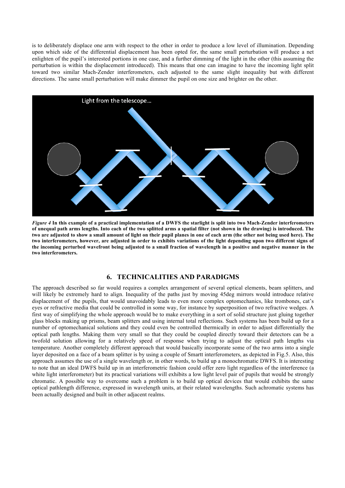is to deliberately displace one arm with respect to the other in order to produce a low level of illumination. Depending upon which side of the differential displacement has been opted for, the same small perturbation will produce a net enlighten of the pupil's interested portions in one case, and a further dimming of the light in the other (this assuming the perturbation is within the displacement introduced). This means that one can imagine to have the incoming light split toward two similar Mach-Zender interferometers, each adjusted to the same slight inequality but with different directions. The same small perturbation will make dimmer the pupil on one size and brighter on the other.



*Figure 4* **In this example of a practical implementation of a DWFS the starlight is split into two Mach-Zender interferometers of unequal path arms lengths. Into each of the two splitted arms a spatial filter (not shown in the drawing) is introduced. The two are adjusted to show a small amount of light on their pupil planes in one of each arm (the other not being used here). The two interferometers, however, are adjusted in order to exhibits variations of the light depending upon two different signs of the incoming perturbed wavefront being adjusted to a small fraction of wavelength in a positive and negative manner in the two interferometers.**

# **6. TECHNICALITIES AND PARADIGMS**

The approach described so far would requires a complex arrangement of several optical elements, beam splitters, and will likely be extremely hard to align. Inequality of the paths just by moving 45deg mirrors would introduce relative displacement of the pupils, that would unavoidably leads to even more complex optomechanics, like trombones, cat's eyes or refractive media that could be controlled in some way, for instance by superposition of two refractive wedges. A first way of simplifying the whole approach would be to make everything in a sort of solid structure just gluing together glass blocks making up prisms, beam splitters and using internal total reflections. Such systems has been build up for a number of optomechanical solutions and they could even be controlled thermically in order to adjust differentially the optical path lengths. Making them very small so that they could be coupled directly toward their detectors can be a twofold solution allowing for a relatively speed of response when trying to adjust the optical path lengths via temperature. Another completely different approach that would basically incorporate some of the two arms into a single layer deposited on a face of a beam splitter is by using a couple of Smartt interferometers, as depicted in Fig.5. Also, this approach assumes the use of a single wavelength or, in other words, to build up a monochromatic DWFS. It is interesting to note that an ideal DWFS build up in an interferometric fashion could offer zero light regardless of the interference (a white light interferometer) but its practical variations will exhibits a low light level pair of pupils that would be strongly chromatic. A possible way to overcome such a problem is to build up optical devices that would exhibits the same optical pathlength difference, expressed in wavelength units, at their related wavelengths. Such achromatic systems has been actually designed and built in other adjacent realms.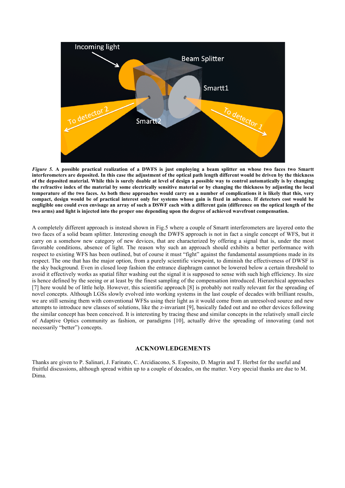

*Figure 5.* **A possible practical realization of a DWFS is just employing a beam splitter on whose two faces two Smartt interferometers are deposited. In this case the adjustment of the optical path length different would be driven by the thickness of the deposited material. While this is surely doable at level of design a possible way to control automatically is by changing the refractive index of the material by some electrically sensitive material or by changing the thickness by adjusting the local temperature of the two faces. As both these approaches would carry on a number of complications it is likely that this, very compact, design would be of practical interest only for systems whose gain is fixed in advance. If detectors cost would be negligible one could even envisage an array of such a DSWF each with a different gain (difference on the optical length of the two arms) and light is injected into the proper one depending upon the degree of achieved wavefront compensation.**

A completely different approach is instead shown in Fig.5 where a couple of Smartt interferometers are layered onto the two faces of a solid beam splitter. Interesting enough the DWFS approach is not in fact a single concept of WFS, but it carry on a somehow new category of new devices, that are characterized by offering a signal that is, under the most favorable conditions, absence of light. The reason why such an approach should exhibits a better performance with respect to existing WFS has been outlined, but of course it must "fight" against the fundamental assumptions made in its respect. The one that has the major option, from a purely scientific viewpoint, to diminish the effectiveness of DWSF is the sky background. Even in closed loop fashion the entrance diaphragm cannot be lowered below a certain threshold to avoid it effectively works as spatial filter washing out the signal it is supposed to sense with such high efficiency. Its size is hence defined by the seeing or at least by the finest sampling of the compensation introduced. Hierarchical approaches [7] here would be of little help. However, this scientific approach [8] is probably not really relevant for the spreading of novel concepts. Although LGSs slowly evolved into working systems in the last couple of decades with brilliant results, we are still sensing them with conventional WFSs using their light as it would come from an unresolved source and new attempts to introduce new classes of solutions, like the z-invariant [9], basically faded out and no other devices following the similar concept has been conceived. It is interesting by tracing these and similar concepts in the relatively small circle of Adaptive Optics community as fashion, or paradigms [10], actually drive the spreading of innovating (and not necessarily "better") concepts.

#### **ACKNOWLEDGEMENTS**

Thanks are given to P. Salinari, J. Farinato, C. Arcidiacono, S. Esposito, D. Magrin and T. Herbst for the useful and fruitful discussions, although spread within up to a couple of decades, on the matter. Very special thanks are due to M. Dima.